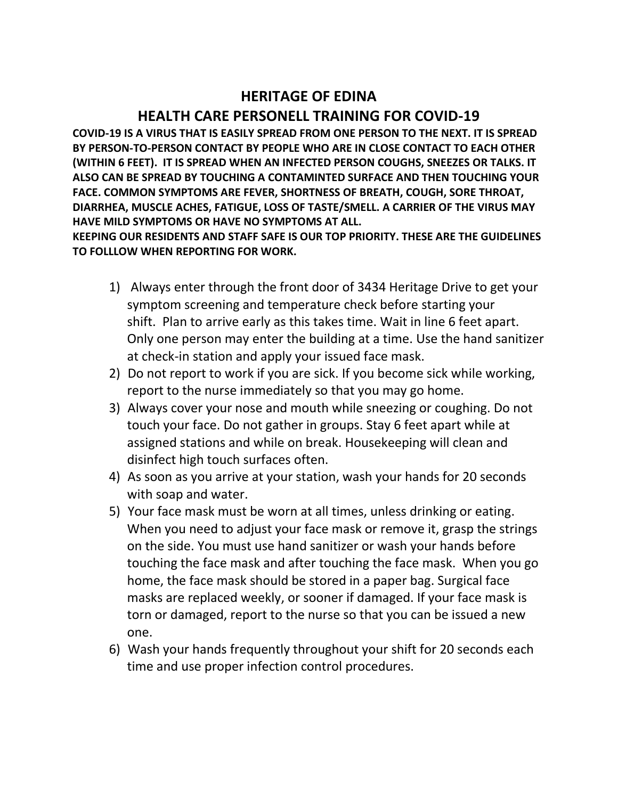## **HERITAGE OF EDINA HEALTH CARE PERSONELL TRAINING FOR COVID-19**

**COVID-19 IS A VIRUS THAT IS EASILY SPREAD FROM ONE PERSON TO THE NEXT. IT IS SPREAD BY PERSON-TO-PERSON CONTACT BY PEOPLE WHO ARE IN CLOSE CONTACT TO EACH OTHER (WITHIN 6 FEET). IT IS SPREAD WHEN AN INFECTED PERSON COUGHS, SNEEZES OR TALKS. IT ALSO CAN BE SPREAD BY TOUCHING A CONTAMINTED SURFACE AND THEN TOUCHING YOUR FACE. COMMON SYMPTOMS ARE FEVER, SHORTNESS OF BREATH, COUGH, SORE THROAT, DIARRHEA, MUSCLE ACHES, FATIGUE, LOSS OF TASTE/SMELL. A CARRIER OF THE VIRUS MAY HAVE MILD SYMPTOMS OR HAVE NO SYMPTOMS AT ALL.**

**KEEPING OUR RESIDENTS AND STAFF SAFE IS OUR TOP PRIORITY. THESE ARE THE GUIDELINES TO FOLLLOW WHEN REPORTING FOR WORK.**

- 1) Always enter through the front door of 3434 Heritage Drive to get your symptom screening and temperature check before starting your shift. Plan to arrive early as this takes time. Wait in line 6 feet apart. Only one person may enter the building at a time. Use the hand sanitizer at check-in station and apply your issued face mask.
- 2) Do not report to work if you are sick. If you become sick while working, report to the nurse immediately so that you may go home.
- 3) Always cover your nose and mouth while sneezing or coughing. Do not touch your face. Do not gather in groups. Stay 6 feet apart while at assigned stations and while on break. Housekeeping will clean and disinfect high touch surfaces often.
- 4) As soon as you arrive at your station, wash your hands for 20 seconds with soap and water.
- 5) Your face mask must be worn at all times, unless drinking or eating. When you need to adjust your face mask or remove it, grasp the strings on the side. You must use hand sanitizer or wash your hands before touching the face mask and after touching the face mask. When you go home, the face mask should be stored in a paper bag. Surgical face masks are replaced weekly, or sooner if damaged. If your face mask is torn or damaged, report to the nurse so that you can be issued a new one.
- 6) Wash your hands frequently throughout your shift for 20 seconds each time and use proper infection control procedures.